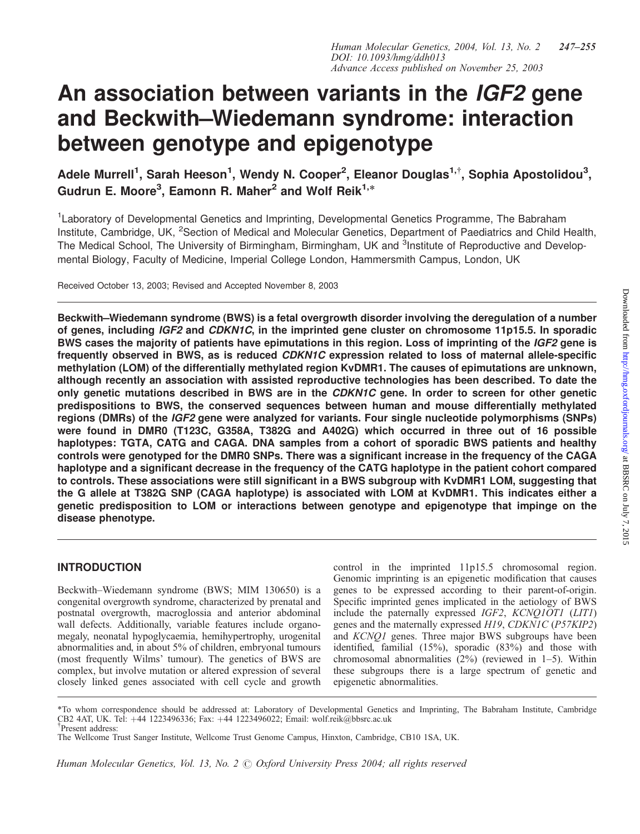# An association between variants in the IGF2 gene and Beckwith–Wiedemann syndrome: interaction between genotype and epigenotype

Adele Murrell<sup>1</sup>, Sarah Heeson<sup>1</sup>, Wendy N. Cooper<sup>2</sup>, Eleanor Douglas<sup>1,†</sup>, Sophia Apostolidou<sup>3</sup>, Gudrun E. Moore<sup>3</sup>, Eamonn R. Maher<sup>2</sup> and Wolf Reik<sup>1,\*</sup>

<sup>1</sup> Laboratory of Developmental Genetics and Imprinting, Developmental Genetics Programme, The Babraham Institute, Cambridge, UK, <sup>2</sup>Section of Medical and Molecular Genetics, Department of Paediatrics and Child Health, The Medical School, The University of Birmingham, Birmingham, UK and <sup>3</sup>Institute of Reproductive and Developmental Biology, Faculty of Medicine, Imperial College London, Hammersmith Campus, London, UK

Received October 13, 2003; Revised and Accepted November 8, 2003

Beckwith–Wiedemann syndrome (BWS) is a fetal overgrowth disorder involving the deregulation of a number of genes, including IGF2 and CDKN1C, in the imprinted gene cluster on chromosome 11p15.5. In sporadic BWS cases the majority of patients have epimutations in this region. Loss of imprinting of the IGF2 gene is frequently observed in BWS, as is reduced CDKN1C expression related to loss of maternal allele-specific methylation (LOM) of the differentially methylated region KvDMR1. The causes of epimutations are unknown, although recently an association with assisted reproductive technologies has been described. To date the only genetic mutations described in BWS are in the CDKN1C gene. In order to screen for other genetic predispositions to BWS, the conserved sequences between human and mouse differentially methylated regions (DMRs) of the *IGF2* gene were analyzed for variants. Four single nucleotide polymorphisms (SNPs) were found in DMR0 (T123C, G358A, T382G and A402G) which occurred in three out of 16 possible haplotypes: TGTA, CATG and CAGA. DNA samples from a cohort of sporadic BWS patients and healthy controls were genotyped for the DMR0 SNPs. There was a significant increase in the frequency of the CAGA haplotype and a significant decrease in the frequency of the CATG haplotype in the patient cohort compared to controls. These associations were still significant in a BWS subgroup with KvDMR1 LOM, suggesting that the G allele at T382G SNP (CAGA haplotype) is associated with LOM at KvDMR1. This indicates either a genetic predisposition to LOM or interactions between genotype and epigenotype that impinge on the disease phenotype.

# INTRODUCTION

Beckwith–Wiedemann syndrome (BWS; MIM 130650) is a congenital overgrowth syndrome, characterized by prenatal and postnatal overgrowth, macroglossia and anterior abdominal wall defects. Additionally, variable features include organomegaly, neonatal hypoglycaemia, hemihypertrophy, urogenital abnormalities and, in about 5% of children, embryonal tumours (most frequently Wilms' tumour). The genetics of BWS are complex, but involve mutation or altered expression of several closely linked genes associated with cell cycle and growth control in the imprinted 11p15.5 chromosomal region. Genomic imprinting is an epigenetic modification that causes genes to be expressed according to their parent-of-origin. Specific imprinted genes implicated in the aetiology of BWS include the paternally expressed IGF2, KCNQ1OT1 (LIT1) genes and the maternally expressed H19, CDKN1C (P57KIP2) and KCNQ1 genes. Three major BWS subgroups have been identified, familial (15%), sporadic (83%) and those with chromosomal abnormalities  $(2%)$  (reviewed in 1–5). Within these subgroups there is a large spectrum of genetic and epigenetic abnormalities.

Human Molecular Genetics, Vol. 13, No. 2  $\odot$  Oxford University Press 2004; all rights reserved

<sup>\*</sup>To whom correspondence should be addressed at: Laboratory of Developmental Genetics and Imprinting, The Babraham Institute, Cambridge CB2 4AT, UK. Tel: +44 1223496336; Fax: +44 1223496022; Email: wolf.reik@bbsrc.ac.uk Present address:

The Wellcome Trust Sanger Institute, Wellcome Trust Genome Campus, Hinxton, Cambridge, CB10 1SA, UK.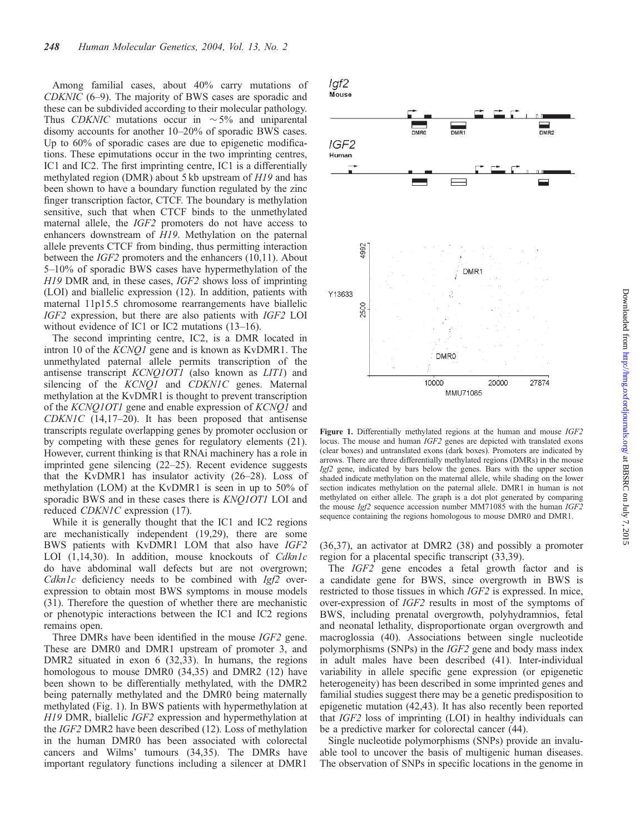Among familial cases, about 40% carry mutations of CDKNIC (6–9). The majority of BWS cases are sporadic and these can be subdivided according to their molecular pathology. Thus CDKNIC mutations occur in  $\sim$  5% and uniparental disomy accounts for another 10–20% of sporadic BWS cases. Up to 60% of sporadic cases are due to epigenetic modifications. These epimutations occur in the two imprinting centres, IC1 and IC2. The first imprinting centre, IC1 is a differentially methylated region (DMR) about 5 kb upstream of H19 and has been shown to have a boundary function regulated by the zinc finger transcription factor, CTCF. The boundary is methylation sensitive, such that when CTCF binds to the unmethylated maternal allele, the IGF2 promoters do not have access to enhancers downstream of H19. Methylation on the paternal allele prevents CTCF from binding, thus permitting interaction between the IGF2 promoters and the enhancers (10,11). About 5–10% of sporadic BWS cases have hypermethylation of the H19 DMR and, in these cases, IGF2 shows loss of imprinting (LOI) and biallelic expression (12). In addition, patients with maternal 11p15.5 chromosome rearrangements have biallelic IGF2 expression, but there are also patients with IGF2 LOI without evidence of IC1 or IC2 mutations (13–16).

The second imprinting centre, IC2, is a DMR located in intron 10 of the KCNQ1 gene and is known as KvDMR1. The unmethylated paternal allele permits transcription of the antisense transcript KCNQ1OT1 (also known as LIT1) and silencing of the KCNQ1 and CDKN1C genes. Maternal methylation at the KvDMR1 is thought to prevent transcription of the KCNQ1OT1 gene and enable expression of KCNQ1 and  $CDKNIC$  (14,17–20). It has been proposed that antisense transcripts regulate overlapping genes by promoter occlusion or by competing with these genes for regulatory elements (21). However, current thinking is that RNAi machinery has a role in imprinted gene silencing (22–25). Recent evidence suggests that the KvDMR1 has insulator activity (26–28). Loss of methylation (LOM) at the KvDMR1 is seen in up to 50% of sporadic BWS and in these cases there is *KNQ1OT1* LOI and reduced CDKN1C expression (17).

While it is generally thought that the IC1 and IC2 regions are mechanistically independent (19,29), there are some BWS patients with KvDMR1 LOM that also have IGF2 LOI (1,14,30). In addition, mouse knockouts of Cdkn1c do have abdominal wall defects but are not overgrown; Cdkn1c deficiency needs to be combined with  $Igf2$  overexpression to obtain most BWS symptoms in mouse models (31). Therefore the question of whether there are mechanistic or phenotypic interactions between the IC1 and IC2 regions remains open.

Three DMRs have been identified in the mouse IGF2 gene. These are DMR0 and DMR1 upstream of promoter 3, and DMR2 situated in exon 6 (32,33). In humans, the regions homologous to mouse DMR0 (34,35) and DMR2 (12) have been shown to be differentially methylated, with the DMR2 being paternally methylated and the DMR0 being maternally methylated (Fig. 1). In BWS patients with hypermethylation at H19 DMR, biallelic IGF2 expression and hypermethylation at the IGF2 DMR2 have been described (12). Loss of methylation in the human DMR0 has been associated with colorectal cancers and Wilms' tumours (34,35). The DMRs have important regulatory functions including a silencer at DMR1 lgf2 Mouse



Figure 1. Differentially methylated regions at the human and mouse IGF2 locus. The mouse and human IGF2 genes are depicted with translated exons (clear boxes) and untranslated exons (dark boxes). Promoters are indicated by arrows. There are three differentially methylated regions (DMRs) in the mouse Igf2 gene, indicated by bars below the genes. Bars with the upper section shaded indicate methylation on the maternal allele, while shading on the lower section indicates methylation on the paternal allele. DMR1 in human is not methylated on either allele. The graph is a dot plot generated by comparing the mouse Igf2 sequence accession number MM71085 with the human IGF2 sequence containing the regions homologous to mouse DMR0 and DMR1.

(36,37), an activator at DMR2 (38) and possibly a promoter region for a placental specific transcript (33,39).

The *IGF2* gene encodes a fetal growth factor and is a candidate gene for BWS, since overgrowth in BWS is restricted to those tissues in which IGF2 is expressed. In mice, over-expression of IGF2 results in most of the symptoms of BWS, including prenatal overgrowth, polyhydramnios, fetal and neonatal lethality, disproportionate organ overgrowth and macroglossia (40). Associations between single nucleotide polymorphisms (SNPs) in the IGF2 gene and body mass index in adult males have been described (41). Inter-individual variability in allele specific gene expression (or epigenetic heterogeneity) has been described in some imprinted genes and familial studies suggest there may be a genetic predisposition to epigenetic mutation (42,43). It has also recently been reported that IGF2 loss of imprinting (LOI) in healthy individuals can be a predictive marker for colorectal cancer (44).

Single nucleotide polymorphisms (SNPs) provide an invaluable tool to uncover the basis of multigenic human diseases. The observation of SNPs in specific locations in the genome in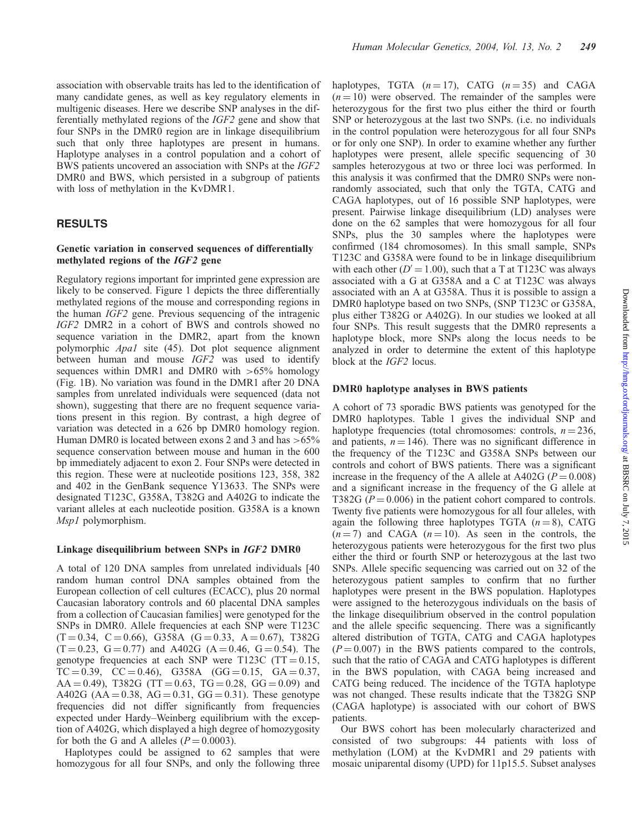association with observable traits has led to the identification of many candidate genes, as well as key regulatory elements in multigenic diseases. Here we describe SNP analyses in the differentially methylated regions of the IGF2 gene and show that four SNPs in the DMR0 region are in linkage disequilibrium such that only three haplotypes are present in humans. Haplotype analyses in a control population and a cohort of BWS patients uncovered an association with SNPs at the IGF2 DMR0 and BWS, which persisted in a subgroup of patients with loss of methylation in the KvDMR1.

## RESULTS

## Genetic variation in conserved sequences of differentially methylated regions of the IGF2 gene

Regulatory regions important for imprinted gene expression are likely to be conserved. Figure 1 depicts the three differentially methylated regions of the mouse and corresponding regions in the human IGF2 gene. Previous sequencing of the intragenic IGF2 DMR2 in a cohort of BWS and controls showed no sequence variation in the DMR2, apart from the known polymorphic Apa1 site (45). Dot plot sequence alignment between human and mouse IGF2 was used to identify sequences within DMR1 and DMR0 with  $>65\%$  homology (Fig. 1B). No variation was found in the DMR1 after 20 DNA samples from unrelated individuals were sequenced (data not shown), suggesting that there are no frequent sequence variations present in this region. By contrast, a high degree of variation was detected in a 626 bp DMR0 homology region. Human DMR0 is located between exons 2 and 3 and has  $>65\%$ sequence conservation between mouse and human in the 600 bp immediately adjacent to exon 2. Four SNPs were detected in this region. These were at nucleotide positions 123, 358, 382 and 402 in the GenBank sequence Y13633. The SNPs were designated T123C, G358A, T382G and A402G to indicate the variant alleles at each nucleotide position. G358A is a known Msp1 polymorphism.

#### Linkage disequilibrium between SNPs in IGF2 DMR0

A total of 120 DNA samples from unrelated individuals [40 random human control DNA samples obtained from the European collection of cell cultures (ECACC), plus 20 normal Caucasian laboratory controls and 60 placental DNA samples from a collection of Caucasian families] were genotyped for the SNPs in DMR0. Allele frequencies at each SNP were T123C  $(T = 0.34, C = 0.66), G358A (G = 0.33, A = 0.67), T382G$  $(T = 0.23, G = 0.77)$  and A402G (A = 0.46, G = 0.54). The genotype frequencies at each SNP were T123C (TT =  $0.15$ ,  $TC = 0.39$ ,  $CC = 0.46$ ), G358A (GG = 0.15, GA = 0.37,  $AA = 0.49$ ), T382G (TT = 0.63, TG = 0.28, GG = 0.09) and A402G (AA = 0.38, AG = 0.31, GG = 0.31). These genotype frequencies did not differ significantly from frequencies expected under Hardy–Weinberg equilibrium with the exception of A402G, which displayed a high degree of homozygosity for both the G and A alleles  $(P = 0.0003)$ .

Haplotypes could be assigned to 62 samples that were homozygous for all four SNPs, and only the following three haplotypes, TGTA  $(n = 17)$ , CATG  $(n = 35)$  and CAGA  $(n = 10)$  were observed. The remainder of the samples were heterozygous for the first two plus either the third or fourth SNP or heterozygous at the last two SNPs. (i.e. no individuals in the control population were heterozygous for all four SNPs or for only one SNP). In order to examine whether any further haplotypes were present, allele specific sequencing of 30 samples heterozygous at two or three loci was performed. In this analysis it was confirmed that the DMR0 SNPs were nonrandomly associated, such that only the TGTA, CATG and CAGA haplotypes, out of 16 possible SNP haplotypes, were present. Pairwise linkage disequilibrium (LD) analyses were done on the 62 samples that were homozygous for all four SNPs, plus the 30 samples where the haplotypes were confirmed (184 chromosomes). In this small sample, SNPs T123C and G358A were found to be in linkage disequilibrium with each other ( $D' = 1.00$ ), such that a T at T123C was always associated with a G at G358A and a C at T123C was always associated with an A at G358A. Thus it is possible to assign a DMR0 haplotype based on two SNPs, (SNP T123C or G358A, plus either T382G or A402G). In our studies we looked at all four SNPs. This result suggests that the DMR0 represents a haplotype block, more SNPs along the locus needs to be analyzed in order to determine the extent of this haplotype block at the IGF2 locus.

## DMR0 haplotype analyses in BWS patients

A cohort of 73 sporadic BWS patients was genotyped for the DMR0 haplotypes. Table 1 gives the individual SNP and haplotype frequencies (total chromosomes: controls,  $n = 236$ , and patients,  $n = 146$ ). There was no significant difference in the frequency of the T123C and G358A SNPs between our controls and cohort of BWS patients. There was a significant increase in the frequency of the A allele at A402G ( $P = 0.008$ ) and a significant increase in the frequency of the G allele at T382G ( $P = 0.006$ ) in the patient cohort compared to controls. Twenty five patients were homozygous for all four alleles, with again the following three haplotypes TGTA  $(n = 8)$ , CATG  $(n = 7)$  and CAGA  $(n = 10)$ . As seen in the controls, the heterozygous patients were heterozygous for the first two plus either the third or fourth SNP or heterozygous at the last two SNPs. Allele specific sequencing was carried out on 32 of the heterozygous patient samples to confirm that no further haplotypes were present in the BWS population. Haplotypes were assigned to the heterozygous individuals on the basis of the linkage disequilibrium observed in the control population and the allele specific sequencing. There was a significantly altered distribution of TGTA, CATG and CAGA haplotypes  $(P = 0.007)$  in the BWS patients compared to the controls, such that the ratio of CAGA and CATG haplotypes is different in the BWS population, with CAGA being increased and CATG being reduced. The incidence of the TGTA haplotype was not changed. These results indicate that the T382G SNP (CAGA haplotype) is associated with our cohort of BWS patients.

Our BWS cohort has been molecularly characterized and consisted of two subgroups: 44 patients with loss of methylation (LOM) at the KvDMR1 and 29 patients with mosaic uniparental disomy (UPD) for 11p15.5. Subset analyses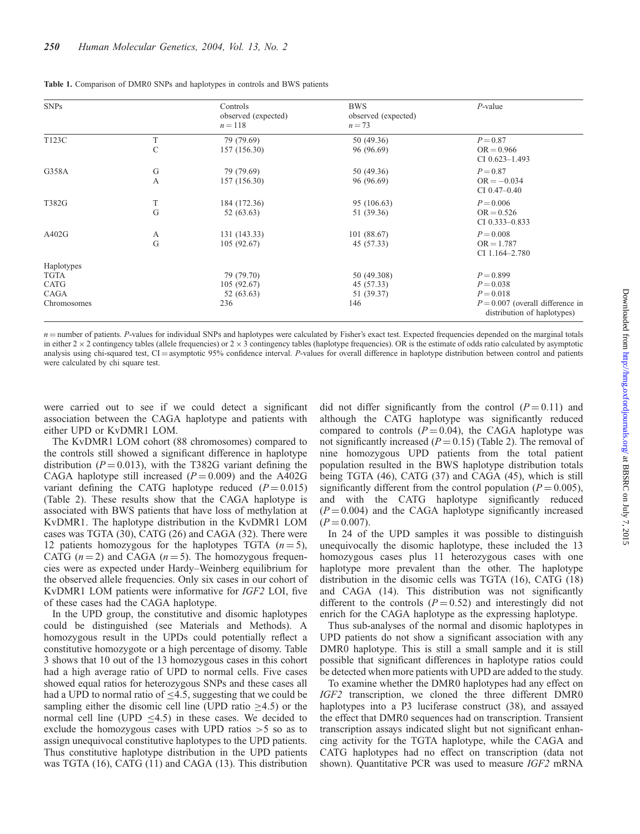| <b>SNPs</b>                                       |        | Controls<br>observed (expected)<br>$n = 118$  | <b>BWS</b><br>observed (expected)<br>$n = 73$  | $P$ -value                                                                                                     |
|---------------------------------------------------|--------|-----------------------------------------------|------------------------------------------------|----------------------------------------------------------------------------------------------------------------|
| T123C                                             | T<br>C | 79 (79.69)<br>157 (156.30)                    | 50 (49.36)<br>96 (96.69)                       | $P = 0.87$<br>$OR = 0.966$<br>CI $0.623 - 1.493$                                                               |
| G358A                                             | G<br>А | 79 (79.69)<br>157 (156.30)                    | 50 (49.36)<br>96 (96.69)                       | $P = 0.87$<br>$OR = -0.034$<br>$CI$ 0.47–0.40                                                                  |
| T382G                                             | T<br>G | 184 (172.36)<br>52 (63.63)                    | 95 (106.63)<br>51 (39.36)                      | $P = 0.006$<br>$OR = 0.526$<br>CI $0.333 - 0.833$                                                              |
| A402G                                             | А<br>G | 131 (143.33)<br>105(92.67)                    | 101 (88.67)<br>45 (57.33)                      | $P = 0.008$<br>$OR = 1.787$<br>$CI$ 1.164-2.780                                                                |
| Haplotypes<br>TGTA<br>CATG<br>CAGA<br>Chromosomes |        | 79 (79.70)<br>105(92.67)<br>52 (63.63)<br>236 | 50 (49.308)<br>45 (57.33)<br>51 (39.37)<br>146 | $P = 0.899$<br>$P = 0.038$<br>$P = 0.018$<br>$P = 0.007$ (overall difference in<br>distribution of haplotypes) |

Table 1. Comparison of DMR0 SNPs and haplotypes in controls and BWS patients

 $n =$ number of patients. P-values for individual SNPs and haplotypes were calculated by Fisher's exact test. Expected frequencies depended on the marginal totals in either  $2 \times 2$  contingency tables (allele frequencies) or  $2 \times 3$  contingency tables (haplotype frequencies). OR is the estimate of odds ratio calculated by asymptotic analysis using chi-squared test,  $CI =$  asymptotic 95% confidence interval. P-values for overall difference in haplotype distribution between control and patients were calculated by chi square test.

were carried out to see if we could detect a significant association between the CAGA haplotype and patients with either UPD or KvDMR1 LOM.

The KvDMR1 LOM cohort (88 chromosomes) compared to the controls still showed a significant difference in haplotype distribution ( $P = 0.013$ ), with the T382G variant defining the CAGA haplotype still increased  $(P = 0.009)$  and the A402G variant defining the CATG haplotype reduced  $(P = 0.015)$ (Table 2). These results show that the CAGA haplotype is associated with BWS patients that have loss of methylation at KvDMR1. The haplotype distribution in the KvDMR1 LOM cases was TGTA (30), CATG (26) and CAGA (32). There were 12 patients homozygous for the haplotypes TGTA  $(n=5)$ , CATG  $(n = 2)$  and CAGA  $(n = 5)$ . The homozygous frequencies were as expected under Hardy–Weinberg equilibrium for the observed allele frequencies. Only six cases in our cohort of KvDMR1 LOM patients were informative for IGF2 LOI, five of these cases had the CAGA haplotype.

In the UPD group, the constitutive and disomic haplotypes could be distinguished (see Materials and Methods). A homozygous result in the UPDs could potentially reflect a constitutive homozygote or a high percentage of disomy. Table 3 shows that 10 out of the 13 homozygous cases in this cohort had a high average ratio of UPD to normal cells. Five cases showed equal ratios for heterozygous SNPs and these cases all had a UPD to normal ratio of  $\leq$ 4.5, suggesting that we could be sampling either the disomic cell line (UPD ratio  $>4.5$ ) or the normal cell line (UPD  $\leq$ 4.5) in these cases. We decided to exclude the homozygous cases with UPD ratios >5 so as to assign unequivocal constitutive haplotypes to the UPD patients. Thus constitutive haplotype distribution in the UPD patients was TGTA (16), CATG (11) and CAGA (13). This distribution did not differ significantly from the control  $(P = 0.11)$  and although the CATG haplotype was significantly reduced compared to controls  $(P = 0.04)$ , the CAGA haplotype was not significantly increased  $(P = 0.15)$  (Table 2). The removal of nine homozygous UPD patients from the total patient population resulted in the BWS haplotype distribution totals being TGTA (46), CATG (37) and CAGA (45), which is still significantly different from the control population ( $P = 0.005$ ), and with the CATG haplotype significantly reduced  $(P = 0.004)$  and the CAGA haplotype significantly increased  $(P = 0.007)$ .

In 24 of the UPD samples it was possible to distinguish unequivocally the disomic haplotype, these included the 13 homozygous cases plus 11 heterozygous cases with one haplotype more prevalent than the other. The haplotype distribution in the disomic cells was TGTA (16), CATG (18) and CAGA (14). This distribution was not significantly different to the controls  $(P = 0.52)$  and interestingly did not enrich for the CAGA haplotype as the expressing haplotype.

Thus sub-analyses of the normal and disomic haplotypes in UPD patients do not show a significant association with any DMR0 haplotype. This is still a small sample and it is still possible that significant differences in haplotype ratios could be detected when more patients with UPD are added to the study.

To examine whether the DMR0 haplotypes had any effect on IGF2 transcription, we cloned the three different DMR0 haplotypes into a P3 luciferase construct (38), and assayed the effect that DMR0 sequences had on transcription. Transient transcription assays indicated slight but not significant enhancing activity for the TGTA haplotype, while the CAGA and CATG haplotypes had no effect on transcription (data not shown). Quantitative PCR was used to measure *IGF2* mRNA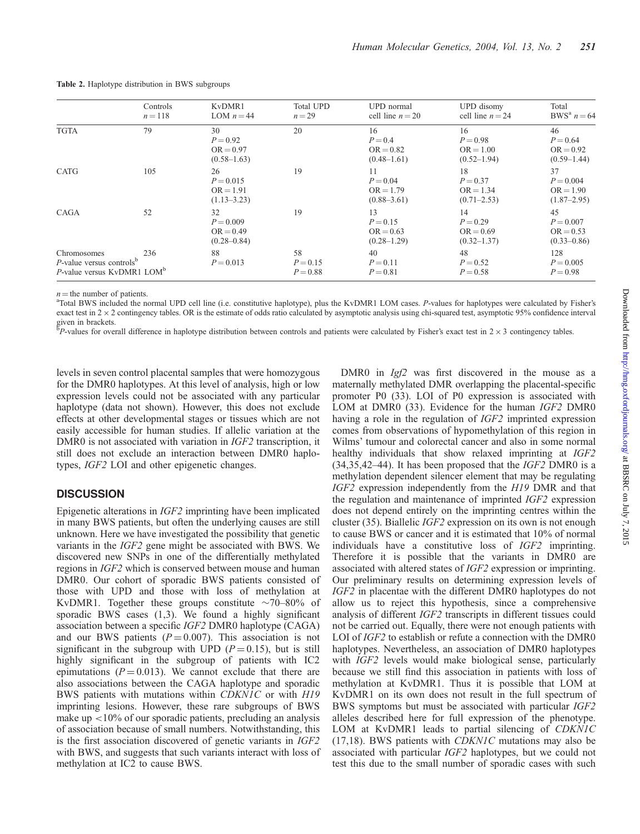|                                                                                                  | Controls<br>$n = 118$ | KvDMR1<br>LOM $n = 44$                              | <b>Total UPD</b><br>$n = 29$   | UPD normal<br>cell line $n = 20$                   | UPD disomy<br>cell line $n = 24$                   | Total<br>BWS <sup>a</sup> $n = 64$                  |
|--------------------------------------------------------------------------------------------------|-----------------------|-----------------------------------------------------|--------------------------------|----------------------------------------------------|----------------------------------------------------|-----------------------------------------------------|
| <b>TGTA</b>                                                                                      | 79                    | 30<br>$P = 0.92$<br>$OR = 0.97$<br>$(0.58 - 1.63)$  | 20                             | 16<br>$P = 0.4$<br>$OR = 0.82$<br>$(0.48 - 1.61)$  | 16<br>$P = 0.98$<br>$OR = 1.00$<br>$(0.52 - 1.94)$ | 46<br>$P = 0.64$<br>$OR = 0.92$<br>$(0.59-1.44)$    |
| <b>CATG</b>                                                                                      | 105                   | 26<br>$P = 0.015$<br>$OR = 1.91$<br>$(1.13 - 3.23)$ | 19                             | 11<br>$P = 0.04$<br>$OR = 1.79$<br>$(0.88 - 3.61)$ | 18<br>$P = 0.37$<br>$OR = 1.34$<br>$(0.71 - 2.53)$ | 37<br>$P = 0.004$<br>$OR = 1.90$<br>$(1.87 - 2.95)$ |
| CAGA                                                                                             | 52                    | 32<br>$P = 0.009$<br>$OR = 0.49$<br>$(0.28 - 0.84)$ | 19                             | 13<br>$P = 0.15$<br>$OR = 0.63$<br>$(0.28 - 1.29)$ | 14<br>$P = 0.29$<br>$OR = 0.69$<br>$(0.32 - 1.37)$ | 45<br>$P = 0.007$<br>$OR = 0.53$<br>$(0.33 - 0.86)$ |
| Chromosomes<br>$P$ -value versus controls <sup>b</sup><br>P-value versus KyDMR1 LOM <sup>b</sup> | 236                   | 88<br>$P = 0.013$                                   | 58<br>$P = 0.15$<br>$P = 0.88$ | 40<br>$P = 0.11$<br>$P = 0.81$                     | 48<br>$P = 0.52$<br>$P = 0.58$                     | 128<br>$P = 0.005$<br>$P = 0.98$                    |

#### Table 2. Haplotype distribution in BWS subgroups

 $n =$  the number of patients.

<sup>a</sup>Total BWS included the normal UPD cell line (i.e. constitutive haplotype), plus the KvDMR1 LOM cases. P-values for haplotypes were calculated by Fisher's exact test in  $2 \times 2$  contingency tables. OR is the estimate of odds ratio calculated by asymptotic analysis using chi-squared test, asymptotic 95% confidence interval given in brackets.<br><sup>b</sup>P values for over

 $P$ -values for overall difference in haplotype distribution between controls and patients were calculated by Fisher's exact test in  $2 \times 3$  contingency tables.

levels in seven control placental samples that were homozygous for the DMR0 haplotypes. At this level of analysis, high or low expression levels could not be associated with any particular haplotype (data not shown). However, this does not exclude effects at other developmental stages or tissues which are not easily accessible for human studies. If allelic variation at the DMR0 is not associated with variation in *IGF2* transcription, it still does not exclude an interaction between DMR0 haplotypes, IGF2 LOI and other epigenetic changes.

## **DISCUSSION**

Epigenetic alterations in IGF2 imprinting have been implicated in many BWS patients, but often the underlying causes are still unknown. Here we have investigated the possibility that genetic variants in the IGF2 gene might be associated with BWS. We discovered new SNPs in one of the differentially methylated regions in IGF2 which is conserved between mouse and human DMR0. Our cohort of sporadic BWS patients consisted of those with UPD and those with loss of methylation at KvDMR1. Together these groups constitute  $\sim$ 70–80% of sporadic BWS cases (1,3). We found a highly significant association between a specific IGF2 DMR0 haplotype (CAGA) and our BWS patients  $(P = 0.007)$ . This association is not significant in the subgroup with UPD ( $P = 0.15$ ), but is still highly significant in the subgroup of patients with IC2 epimutations ( $P = 0.013$ ). We cannot exclude that there are also associations between the CAGA haplotype and sporadic BWS patients with mutations within CDKN1C or with H19 imprinting lesions. However, these rare subgroups of BWS make up <10% of our sporadic patients, precluding an analysis of association because of small numbers. Notwithstanding, this is the first association discovered of genetic variants in IGF2 with BWS, and suggests that such variants interact with loss of methylation at IC2 to cause BWS.

DMR0 in *Igf2* was first discovered in the mouse as a maternally methylated DMR overlapping the placental-specific promoter P0 (33). LOI of P0 expression is associated with LOM at DMR0 (33). Evidence for the human *IGF2* DMR0 having a role in the regulation of *IGF2* imprinted expression comes from observations of hypomethylation of this region in Wilms' tumour and colorectal cancer and also in some normal healthy individuals that show relaxed imprinting at *IGF2*  $(34,35,42-44)$ . It has been proposed that the *IGF2* DMR0 is a methylation dependent silencer element that may be regulating IGF2 expression independently from the H19 DMR and that the regulation and maintenance of imprinted IGF2 expression does not depend entirely on the imprinting centres within the cluster (35). Biallelic IGF2 expression on its own is not enough to cause BWS or cancer and it is estimated that 10% of normal individuals have a constitutive loss of IGF2 imprinting. Therefore it is possible that the variants in DMR0 are associated with altered states of IGF2 expression or imprinting. Our preliminary results on determining expression levels of IGF2 in placentae with the different DMR0 haplotypes do not allow us to reject this hypothesis, since a comprehensive analysis of different IGF2 transcripts in different tissues could not be carried out. Equally, there were not enough patients with LOI of *IGF2* to establish or refute a connection with the DMR0 haplotypes. Nevertheless, an association of DMR0 haplotypes with *IGF2* levels would make biological sense, particularly because we still find this association in patients with loss of methylation at KvDMR1. Thus it is possible that LOM at KvDMR1 on its own does not result in the full spectrum of BWS symptoms but must be associated with particular IGF2 alleles described here for full expression of the phenotype. LOM at KvDMR1 leads to partial silencing of CDKN1C (17,18). BWS patients with CDKN1C mutations may also be associated with particular IGF2 haplotypes, but we could not test this due to the small number of sporadic cases with such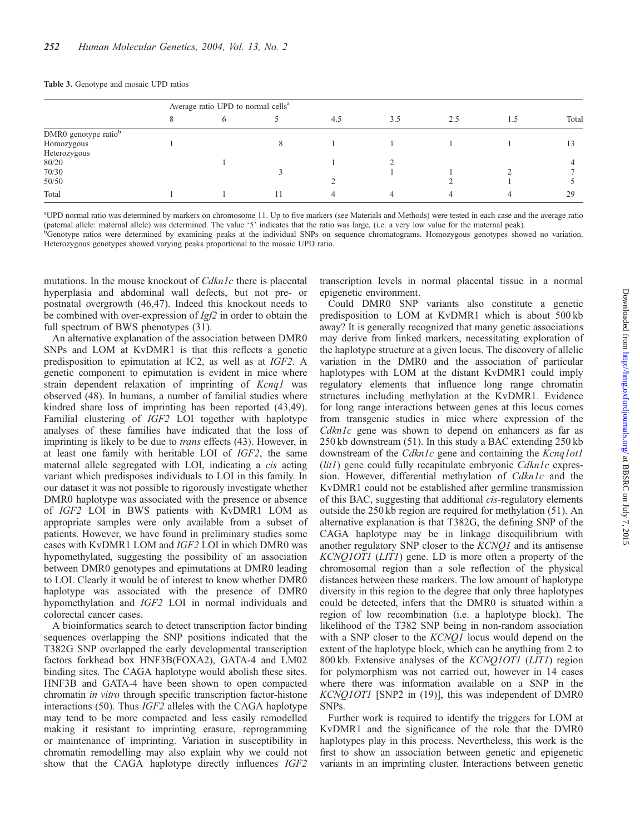#### Table 3. Genotype and mosaic UPD ratios

|                                  | Average ratio UPD to normal cells <sup>a</sup> |   |  |     |     |     |     |       |
|----------------------------------|------------------------------------------------|---|--|-----|-----|-----|-----|-------|
|                                  |                                                | O |  | 4.5 | 3.5 | 2.5 | 1.5 | Total |
| DMR0 genotype ratio <sup>b</sup> |                                                |   |  |     |     |     |     |       |
| Homozygous                       |                                                |   |  |     |     |     |     |       |
| Heterozygous                     |                                                |   |  |     |     |     |     |       |
| 80/20                            |                                                |   |  |     |     |     |     |       |
| 70/30                            |                                                |   |  |     |     |     |     |       |
| 50/50                            |                                                |   |  |     |     |     |     |       |
| Total                            |                                                |   |  |     |     |     |     | 29    |

a UPD normal ratio was determined by markers on chromosome 11. Up to five markers (see Materials and Methods) were tested in each case and the average ratio (paternal allele: maternal allele) was determined. The value '5' indicates that the ratio was large, (i.e. a very low value for the maternal peak).

b Genotype ratios were determined by examining peaks at the individual SNPs on sequence chromatograms. Homozygous genotypes showed no variation. Heterozygous genotypes showed varying peaks proportional to the mosaic UPD ratio.

mutations. In the mouse knockout of *Cdkn1c* there is placental hyperplasia and abdominal wall defects, but not pre- or postnatal overgrowth (46,47). Indeed this knockout needs to be combined with over-expression of Igf2 in order to obtain the full spectrum of BWS phenotypes (31).

An alternative explanation of the association between DMR0 SNPs and LOM at KvDMR1 is that this reflects a genetic predisposition to epimutation at IC2, as well as at IGF2. A genetic component to epimutation is evident in mice where strain dependent relaxation of imprinting of Kcnq1 was observed (48). In humans, a number of familial studies where kindred share loss of imprinting has been reported (43,49). Familial clustering of IGF2 LOI together with haplotype analyses of these families have indicated that the loss of imprinting is likely to be due to trans effects (43). However, in at least one family with heritable LOI of IGF2, the same maternal allele segregated with LOI, indicating a cis acting variant which predisposes individuals to LOI in this family. In our dataset it was not possible to rigorously investigate whether DMR0 haplotype was associated with the presence or absence of IGF2 LOI in BWS patients with KvDMR1 LOM as appropriate samples were only available from a subset of patients. However, we have found in preliminary studies some cases with KvDMR1 LOM and IGF2 LOI in which DMR0 was hypomethylated, suggesting the possibility of an association between DMR0 genotypes and epimutations at DMR0 leading to LOI. Clearly it would be of interest to know whether DMR0 haplotype was associated with the presence of DMR0 hypomethylation and IGF2 LOI in normal individuals and colorectal cancer cases.

A bioinformatics search to detect transcription factor binding sequences overlapping the SNP positions indicated that the T382G SNP overlapped the early developmental transcription factors forkhead box HNF3B(FOXA2), GATA-4 and LM02 binding sites. The CAGA haplotype would abolish these sites. HNF3B and GATA-4 have been shown to open compacted chromatin in vitro through specific transcription factor-histone interactions (50). Thus IGF2 alleles with the CAGA haplotype may tend to be more compacted and less easily remodelled making it resistant to imprinting erasure, reprogramming or maintenance of imprinting. Variation in susceptibility in chromatin remodelling may also explain why we could not show that the CAGA haplotype directly influences IGF2

transcription levels in normal placental tissue in a normal epigenetic environment.

Could DMR0 SNP variants also constitute a genetic predisposition to LOM at KvDMR1 which is about 500 kb away? It is generally recognized that many genetic associations may derive from linked markers, necessitating exploration of the haplotype structure at a given locus. The discovery of allelic variation in the DMR0 and the association of particular haplotypes with LOM at the distant KvDMR1 could imply regulatory elements that influence long range chromatin structures including methylation at the KvDMR1. Evidence for long range interactions between genes at this locus comes from transgenic studies in mice where expression of the Cdkn1c gene was shown to depend on enhancers as far as 250 kb downstream (51). In this study a BAC extending 250 kb downstream of the Cdkn1c gene and containing the Kcnq1ot1  $(lit1)$  gene could fully recapitulate embryonic  $Cdkn1c$  expression. However, differential methylation of Cdkn1c and the KvDMR1 could not be established after germline transmission of this BAC, suggesting that additional cis-regulatory elements outside the 250 kb region are required for methylation (51). An alternative explanation is that T382G, the defining SNP of the CAGA haplotype may be in linkage disequilibrium with another regulatory SNP closer to the KCNQ1 and its antisense KCNQ1OT1 (LIT1) gene. LD is more often a property of the chromosomal region than a sole reflection of the physical distances between these markers. The low amount of haplotype diversity in this region to the degree that only three haplotypes could be detected, infers that the DMR0 is situated within a region of low recombination (i.e. a haplotype block). The likelihood of the T382 SNP being in non-random association with a SNP closer to the KCNQ1 locus would depend on the extent of the haplotype block, which can be anything from 2 to 800 kb. Extensive analyses of the KCNQ1OT1 (LIT1) region for polymorphism was not carried out, however in 14 cases where there was information available on a SNP in the KCNQ1OT1 [SNP2 in (19)], this was independent of DMR0 SNPs.

Further work is required to identify the triggers for LOM at KvDMR1 and the significance of the role that the DMR0 haplotypes play in this process. Nevertheless, this work is the first to show an association between genetic and epigenetic variants in an imprinting cluster. Interactions between genetic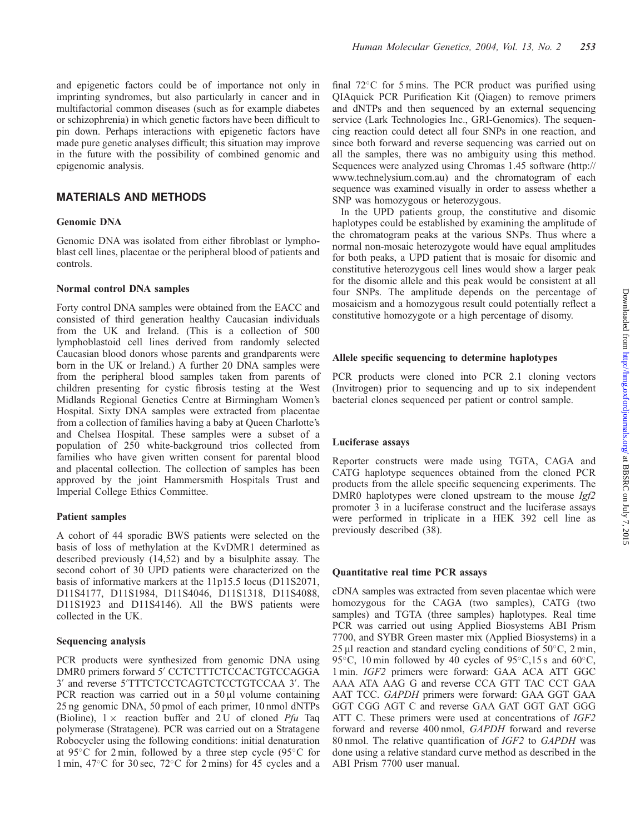## MATERIALS AND METHODS

#### Genomic DNA

epigenomic analysis.

Genomic DNA was isolated from either fibroblast or lymphoblast cell lines, placentae or the peripheral blood of patients and controls.

#### Normal control DNA samples

Forty control DNA samples were obtained from the EACC and consisted of third generation healthy Caucasian individuals from the UK and Ireland. (This is a collection of 500 lymphoblastoid cell lines derived from randomly selected Caucasian blood donors whose parents and grandparents were born in the UK or Ireland.) A further 20 DNA samples were from the peripheral blood samples taken from parents of children presenting for cystic fibrosis testing at the West Midlands Regional Genetics Centre at Birmingham Women's Hospital. Sixty DNA samples were extracted from placentae from a collection of families having a baby at Queen Charlotte's and Chelsea Hospital. These samples were a subset of a population of 250 white-background trios collected from families who have given written consent for parental blood and placental collection. The collection of samples has been approved by the joint Hammersmith Hospitals Trust and Imperial College Ethics Committee.

## Patient samples

A cohort of 44 sporadic BWS patients were selected on the basis of loss of methylation at the KvDMR1 determined as described previously (14,52) and by a bisulphite assay. The second cohort of 30 UPD patients were characterized on the basis of informative markers at the 11p15.5 locus (D11S2071, D11S4177, D11S1984, D11S4046, D11S1318, D11S4088, D11S1923 and D11S4146). All the BWS patients were collected in the UK.

#### Sequencing analysis

PCR products were synthesized from genomic DNA using DMR0 primers forward 5' CCTCTTTCTCCACTGTCCAGGA 3' and reverse 5'TTTCTCCTCAGTCTCCTGTCCAA 3'. The PCR reaction was carried out in a  $50 \mu l$  volume containing 25 ng genomic DNA, 50 pmol of each primer, 10 nmol dNTPs (Bioline),  $1 \times$  reaction buffer and 2 U of cloned *Pfu* Taq polymerase (Stratagene). PCR was carried out on a Stratagene Robocycler using the following conditions: initial denaturation at 95 $\degree$ C for 2 min, followed by a three step cycle (95 $\degree$ C for 1 min,  $47^{\circ}$ C for 30 sec,  $72^{\circ}$ C for 2 mins) for 45 cycles and a

final  $72^{\circ}$ C for 5 mins. The PCR product was purified using QIAquick PCR Purification Kit (Qiagen) to remove primers and dNTPs and then sequenced by an external sequencing service (Lark Technologies Inc., GRI-Genomics). The sequencing reaction could detect all four SNPs in one reaction, and since both forward and reverse sequencing was carried out on all the samples, there was no ambiguity using this method. Sequences were analyzed using Chromas 1.45 software (http:// www.technelysium.com.au) and the chromatogram of each sequence was examined visually in order to assess whether a SNP was homozygous or heterozygous.

In the UPD patients group, the constitutive and disomic haplotypes could be established by examining the amplitude of the chromatogram peaks at the various SNPs. Thus where a normal non-mosaic heterozygote would have equal amplitudes for both peaks, a UPD patient that is mosaic for disomic and constitutive heterozygous cell lines would show a larger peak for the disomic allele and this peak would be consistent at all four SNPs. The amplitude depends on the percentage of mosaicism and a homozygous result could potentially reflect a constitutive homozygote or a high percentage of disomy.

## Allele specific sequencing to determine haplotypes

PCR products were cloned into PCR 2.1 cloning vectors (Invitrogen) prior to sequencing and up to six independent bacterial clones sequenced per patient or control sample.

## Luciferase assays

Reporter constructs were made using TGTA, CAGA and CATG haplotype sequences obtained from the cloned PCR products from the allele specific sequencing experiments. The DMR0 haplotypes were cloned upstream to the mouse  $Igf2$ promoter 3 in a luciferase construct and the luciferase assays were performed in triplicate in a HEK 392 cell line as previously described (38).

## Quantitative real time PCR assays

cDNA samples was extracted from seven placentae which were homozygous for the CAGA (two samples), CATG (two samples) and TGTA (three samples) haplotypes. Real time PCR was carried out using Applied Biosystems ABI Prism 7700, and SYBR Green master mix (Applied Biosystems) in a 25  $\mu$ l reaction and standard cycling conditions of 50 $\degree$ C, 2 min, 95 $\degree$ C, 10 min followed by 40 cycles of 95 $\degree$ C,15 s and 60 $\degree$ C, 1 min. IGF2 primers were forward: GAA ACA ATT GGC AAA ATA AAG G and reverse CCA GTT TAC CCT GAA AAT TCC. GAPDH primers were forward: GAA GGT GAA GGT CGG AGT C and reverse GAA GAT GGT GAT GGG ATT C. These primers were used at concentrations of IGF2 forward and reverse 400 nmol, GAPDH forward and reverse 80 nmol. The relative quantification of IGF2 to GAPDH was done using a relative standard curve method as described in the ABI Prism 7700 user manual.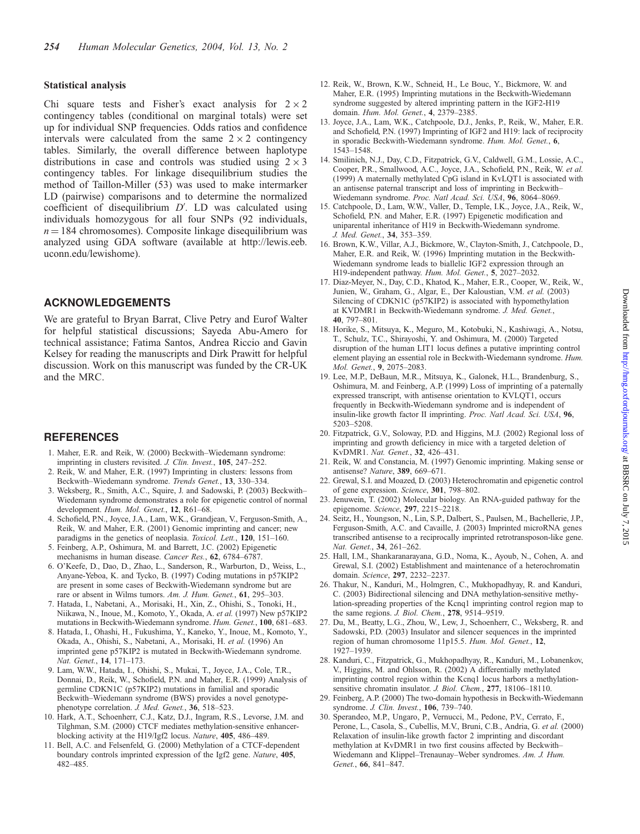#### Statistical analysis

Chi square tests and Fisher's exact analysis for  $2 \times 2$ contingency tables (conditional on marginal totals) were set up for individual SNP frequencies. Odds ratios and confidence intervals were calculated from the same  $2 \times 2$  contingency tables. Similarly, the overall difference between haplotype distributions in case and controls was studied using  $2 \times 3$ contingency tables. For linkage disequilibrium studies the method of Taillon-Miller (53) was used to make intermarker LD (pairwise) comparisons and to determine the normalized coefficient of disequilibrium  $D'$ . LD was calculated using individuals homozygous for all four SNPs (92 individuals,  $n = 184$  chromosomes). Composite linkage disequilibrium was analyzed using GDA software (available at http://lewis.eeb. uconn.edu/lewishome).

## ACKNOWLEDGEMENTS

We are grateful to Bryan Barrat, Clive Petry and Eurof Walter for helpful statistical discussions; Sayeda Abu-Amero for technical assistance; Fatima Santos, Andrea Riccio and Gavin Kelsey for reading the manuscripts and Dirk Prawitt for helpful discussion. Work on this manuscript was funded by the CR-UK and the MRC.

#### REFERENCES

- 1. Maher, E.R. and Reik, W. (2000) Beckwith–Wiedemann syndrome: imprinting in clusters revisited. J. Clin. Invest., 105, 247–252.
- 2. Reik, W. and Maher, E.R. (1997) Imprinting in clusters: lessons from Beckwith–Wiedemann syndrome. Trends Genet., 13, 330–334.
- 3. Weksberg, R., Smith, A.C., Squire, J. and Sadowski, P. (2003) Beckwith– Wiedemann syndrome demonstrates a role for epigenetic control of normal development. Hum. Mol. Genet., 12, R61-68.
- 4. Schofield, P.N., Joyce, J.A., Lam, W.K., Grandjean, V., Ferguson-Smith, A., Reik, W. and Maher, E.R. (2001) Genomic imprinting and cancer; new paradigms in the genetics of neoplasia. Toxicol. Lett., 120, 151–160.
- 5. Feinberg, A.P., Oshimura, M. and Barrett, J.C. (2002) Epigenetic mechanisms in human disease. Cancer Res., 62, 6784–6787.
- 6. O'Keefe, D., Dao, D., Zhao, L., Sanderson, R., Warburton, D., Weiss, L., Anyane-Yeboa, K. and Tycko, B. (1997) Coding mutations in p57KIP2 are present in some cases of Beckwith-Wiedemann syndrome but are rare or absent in Wilms tumors. Am. J. Hum. Genet., 61, 295–303.
- 7. Hatada, I., Nabetani, A., Morisaki, H., Xin, Z., Ohishi, S., Tonoki, H., Niikawa, N., Inoue, M., Komoto, Y., Okada, A. et al. (1997) New p57KIP2 mutations in Beckwith-Wiedemann syndrome. Hum. Genet., 100, 681–683.
- 8. Hatada, I., Ohashi, H., Fukushima, Y., Kaneko, Y., Inoue, M., Komoto, Y., Okada, A., Ohishi, S., Nabetani, A., Morisaki, H. et al. (1996) An imprinted gene p57KIP2 is mutated in Beckwith-Wiedemann syndrome. Nat. Genet., 14, 171–173.
- 9. Lam, W.W., Hatada, I., Ohishi, S., Mukai, T., Joyce, J.A., Cole, T.R., Donnai, D., Reik, W., Schofield, P.N. and Maher, E.R. (1999) Analysis of germline CDKN1C (p57KIP2) mutations in familial and sporadic Beckwith–Wiedemann syndrome (BWS) provides a novel genotypephenotype correlation. J. Med. Genet., 36, 518-523.
- 10. Hark, A.T., Schoenherr, C.J., Katz, D.J., Ingram, R.S., Levorse, J.M. and Tilghman, S.M. (2000) CTCF mediates methylation-sensitive enhancerblocking activity at the H19/Igf2 locus. Nature, 405, 486–489.
- 11. Bell, A.C. and Felsenfeld, G. (2000) Methylation of a CTCF-dependent boundary controls imprinted expression of the Igf2 gene. Nature, 405, 482–485.
- 12. Reik, W., Brown, K.W., Schneid, H., Le Bouc, Y., Bickmore, W. and Maher, E.R. (1995) Imprinting mutations in the Beckwith-Wiedemann syndrome suggested by altered imprinting pattern in the IGF2-H19 domain. Hum. Mol. Genet., 4, 2379–2385.
- 13. Joyce, J.A., Lam, W.K., Catchpoole, D.J., Jenks, P., Reik, W., Maher, E.R. and Schofield, P.N. (1997) Imprinting of IGF2 and H19: lack of reciprocity in sporadic Beckwith-Wiedemann syndrome. Hum. Mol. Genet., 6, 1543–1548.
- 14. Smilinich, N.J., Day, C.D., Fitzpatrick, G.V., Caldwell, G.M., Lossie, A.C., Cooper, P.R., Smallwood, A.C., Joyce, J.A., Schofield, P.N., Reik, W. et al. (1999) A maternally methylated CpG island in KvLQT1 is associated with an antisense paternal transcript and loss of imprinting in Beckwith– Wiedemann syndrome. Proc. Natl Acad. Sci. USA, 96, 8064–8069.
- 15. Catchpoole, D., Lam, W.W., Valler, D., Temple, I.K., Joyce, J.A., Reik, W., Schofield, P.N. and Maher, E.R. (1997) Epigenetic modification and uniparental inheritance of H19 in Beckwith-Wiedemann syndrome. J. Med. Genet., 34, 353–359.
- 16. Brown, K.W., Villar, A.J., Bickmore, W., Clayton-Smith, J., Catchpoole, D., Maher, E.R. and Reik, W. (1996) Imprinting mutation in the Beckwith-Wiedemann syndrome leads to biallelic IGF2 expression through an H19-independent pathway. Hum. Mol. Genet., 5, 2027–2032.
- 17. Diaz-Meyer, N., Day, C.D., Khatod, K., Maher, E.R., Cooper, W., Reik, W., Junien, W., Graham, G., Algar, E., Der Kaloustian, V.M. et al. (2003) Silencing of CDKN1C (p57KIP2) is associated with hypomethylation at KVDMR1 in Beckwith-Wiedemann syndrome. J. Med. Genet., 40, 797–801.
- 18. Horike, S., Mitsuya, K., Meguro, M., Kotobuki, N., Kashiwagi, A., Notsu, T., Schulz, T.C., Shirayoshi, Y. and Oshimura, M. (2000) Targeted disruption of the human LIT1 locus defines a putative imprinting control element playing an essential role in Beckwith-Wiedemann syndrome. Hum. Mol. Genet., 9, 2075–2083.
- 19. Lee, M.P., DeBaun, M.R., Mitsuya, K., Galonek, H.L., Brandenburg, S., Oshimura, M. and Feinberg, A.P. (1999) Loss of imprinting of a paternally expressed transcript, with antisense orientation to KVLQT1, occurs frequently in Beckwith-Wiedemann syndrome and is independent of insulin-like growth factor II imprinting. Proc. Natl Acad. Sci. USA, 96, 5203–5208.
- 20. Fitzpatrick, G.V., Soloway, P.D. and Higgins, M.J. (2002) Regional loss of imprinting and growth deficiency in mice with a targeted deletion of KvDMR1. Nat. Genet., 32, 426–431.
- 21. Reik, W. and Constancia, M. (1997) Genomic imprinting. Making sense or antisense? Nature, 389, 669–671.
- 22. Grewal, S.I. and Moazed, D. (2003) Heterochromatin and epigenetic control of gene expression. Science, 301, 798–802.
- 23. Jenuwein, T. (2002) Molecular biology. An RNA-guided pathway for the epigenome. Science, 297, 2215–2218.
- 24. Seitz, H., Youngson, N., Lin, S.P., Dalbert, S., Paulsen, M., Bachellerie, J.P., Ferguson-Smith, A.C. and Cavaille, J. (2003) Imprinted microRNA genes transcribed antisense to a reciprocally imprinted retrotransposon-like gene. Nat. Genet., 34, 261–262.
- 25. Hall, I.M., Shankaranarayana, G.D., Noma, K., Ayoub, N., Cohen, A. and Grewal, S.I. (2002) Establishment and maintenance of a heterochromatin domain. Science, 297, 2232–2237.
- 26. Thakur, N., Kanduri, M., Holmgren, C., Mukhopadhyay, R. and Kanduri, C. (2003) Bidirectional silencing and DNA methylation-sensitive methylation-spreading properties of the Kcnq1 imprinting control region map to the same regions. J. Biol. Chem., 278, 9514–9519.
- 27. Du, M., Beatty, L.G., Zhou, W., Lew, J., Schoenherr, C., Weksberg, R. and Sadowski, P.D. (2003) Insulator and silencer sequences in the imprinted region of human chromosome 11p15.5. Hum. Mol. Genet., 12, 1927–1939.
- 28. Kanduri, C., Fitzpatrick, G., Mukhopadhyay, R., Kanduri, M., Lobanenkov, V., Higgins, M. and Ohlsson, R. (2002) A differentially methylated imprinting control region within the Kcnq1 locus harbors a methylationsensitive chromatin insulator. J. Biol. Chem., 277, 18106-18110.
- 29. Feinberg, A.P. (2000) The two-domain hypothesis in Beckwith-Wiedemann syndrome. J. Clin. Invest., 106, 739-740.
- 30. Sperandeo, M.P., Ungaro, P., Vernucci, M., Pedone, P.V., Cerrato, F., Perone, L., Casola, S., Cubellis, M.V., Bruni, C.B., Andria, G. et al. (2000) Relaxation of insulin-like growth factor 2 imprinting and discordant methylation at KvDMR1 in two first cousins affected by Beckwith– Wiedemann and Klippel–Trenaunay–Weber syndromes. Am. J. Hum. Genet., 66, 841–847.